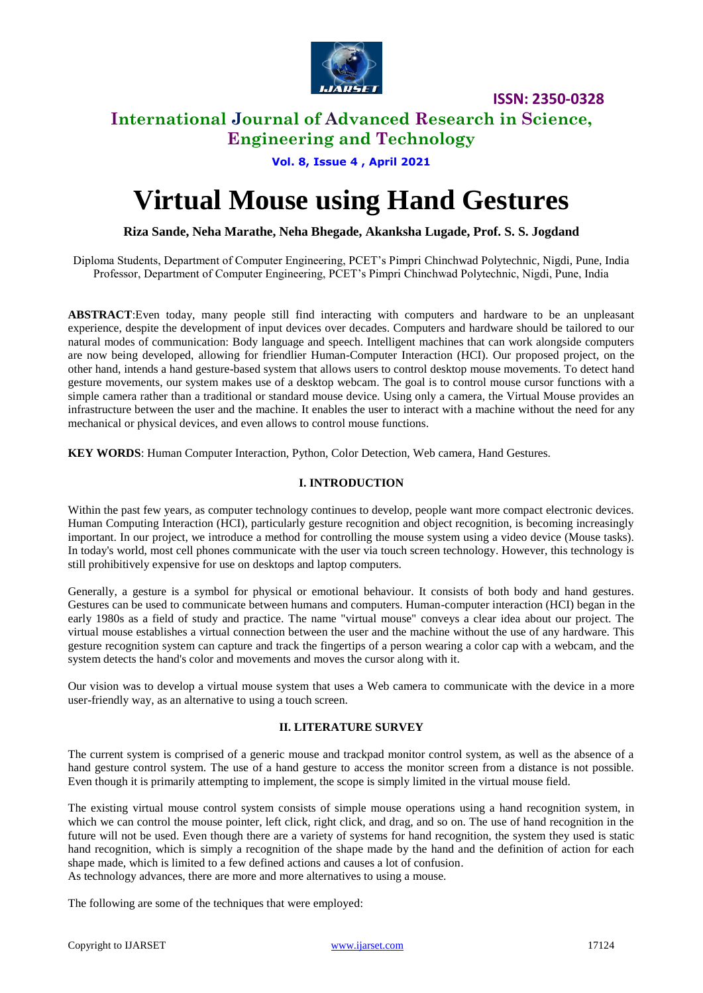

## **International Journal of Advanced Research in Science, Engineering and Technology**

**Vol. 8, Issue 4 , April 2021**

# **Virtual Mouse using Hand Gestures**

**Riza Sande, Neha Marathe, Neha Bhegade, Akanksha Lugade, Prof. S. S. Jogdand**

Diploma Students, Department of Computer Engineering, PCET's Pimpri Chinchwad Polytechnic, Nigdi, Pune, India Professor, Department of Computer Engineering, PCET's Pimpri Chinchwad Polytechnic, Nigdi, Pune, India

**ABSTRACT**:Even today, many people still find interacting with computers and hardware to be an unpleasant experience, despite the development of input devices over decades. Computers and hardware should be tailored to our natural modes of communication: Body language and speech. Intelligent machines that can work alongside computers are now being developed, allowing for friendlier Human-Computer Interaction (HCI). Our proposed project, on the other hand, intends a hand gesture-based system that allows users to control desktop mouse movements. To detect hand gesture movements, our system makes use of a desktop webcam. The goal is to control mouse cursor functions with a simple camera rather than a traditional or standard mouse device. Using only a camera, the Virtual Mouse provides an infrastructure between the user and the machine. It enables the user to interact with a machine without the need for any mechanical or physical devices, and even allows to control mouse functions.

**KEY WORDS**: Human Computer Interaction, Python, Color Detection, Web camera, Hand Gestures.

#### **I. INTRODUCTION**

Within the past few years, as computer technology continues to develop, people want more compact electronic devices. Human Computing Interaction (HCI), particularly gesture recognition and object recognition, is becoming increasingly important. In our project, we introduce a method for controlling the mouse system using a video device (Mouse tasks). In today's world, most cell phones communicate with the user via touch screen technology. However, this technology is still prohibitively expensive for use on desktops and laptop computers.

Generally, a gesture is a symbol for physical or emotional behaviour. It consists of both body and hand gestures. Gestures can be used to communicate between humans and computers. Human-computer interaction (HCI) began in the early 1980s as a field of study and practice. The name "virtual mouse" conveys a clear idea about our project. The virtual mouse establishes a virtual connection between the user and the machine without the use of any hardware. This gesture recognition system can capture and track the fingertips of a person wearing a color cap with a webcam, and the system detects the hand's color and movements and moves the cursor along with it.

Our vision was to develop a virtual mouse system that uses a Web camera to communicate with the device in a more user-friendly way, as an alternative to using a touch screen.

#### **II. LITERATURE SURVEY**

The current system is comprised of a generic mouse and trackpad monitor control system, as well as the absence of a hand gesture control system. The use of a hand gesture to access the monitor screen from a distance is not possible. Even though it is primarily attempting to implement, the scope is simply limited in the virtual mouse field.

The existing virtual mouse control system consists of simple mouse operations using a hand recognition system, in which we can control the mouse pointer, left click, right click, and drag, and so on. The use of hand recognition in the future will not be used. Even though there are a variety of systems for hand recognition, the system they used is static hand recognition, which is simply a recognition of the shape made by the hand and the definition of action for each shape made, which is limited to a few defined actions and causes a lot of confusion. As technology advances, there are more and more alternatives to using a mouse.

The following are some of the techniques that were employed: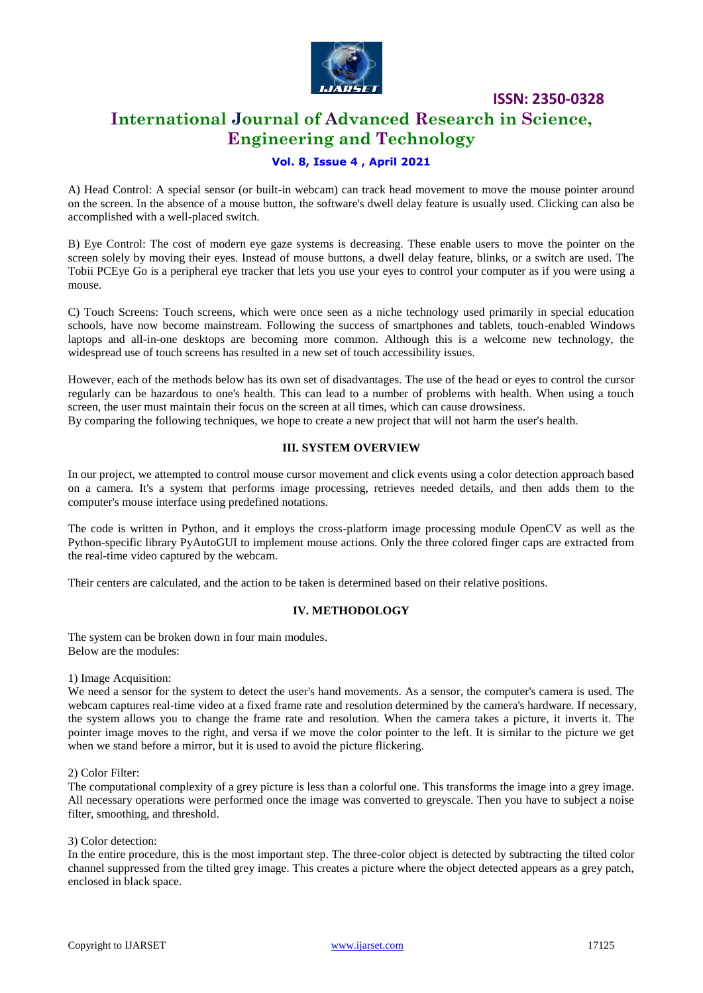

## **International Journal of Advanced Research in Science, Engineering and Technology**

#### **Vol. 8, Issue 4 , April 2021**

A) Head Control: A special sensor (or built-in webcam) can track head movement to move the mouse pointer around on the screen. In the absence of a mouse button, the software's dwell delay feature is usually used. Clicking can also be accomplished with a well-placed switch.

B) Eye Control: The cost of modern eye gaze systems is decreasing. These enable users to move the pointer on the screen solely by moving their eyes. Instead of mouse buttons, a dwell delay feature, blinks, or a switch are used. The Tobii PCEye Go is a peripheral eye tracker that lets you use your eyes to control your computer as if you were using a mouse.

C) Touch Screens: Touch screens, which were once seen as a niche technology used primarily in special education schools, have now become mainstream. Following the success of smartphones and tablets, touch-enabled Windows laptops and all-in-one desktops are becoming more common. Although this is a welcome new technology, the widespread use of touch screens has resulted in a new set of touch accessibility issues.

However, each of the methods below has its own set of disadvantages. The use of the head or eyes to control the cursor regularly can be hazardous to one's health. This can lead to a number of problems with health. When using a touch screen, the user must maintain their focus on the screen at all times, which can cause drowsiness. By comparing the following techniques, we hope to create a new project that will not harm the user's health.

#### **III. SYSTEM OVERVIEW**

In our project, we attempted to control mouse cursor movement and click events using a color detection approach based on a camera. It's a system that performs image processing, retrieves needed details, and then adds them to the computer's mouse interface using predefined notations.

The code is written in Python, and it employs the cross-platform image processing module OpenCV as well as the Python-specific library PyAutoGUI to implement mouse actions. Only the three colored finger caps are extracted from the real-time video captured by the webcam.

Their centers are calculated, and the action to be taken is determined based on their relative positions.

#### **IV. METHODOLOGY**

The system can be broken down in four main modules. Below are the modules:

1) Image Acquisition:

We need a sensor for the system to detect the user's hand movements. As a sensor, the computer's camera is used. The webcam captures real-time video at a fixed frame rate and resolution determined by the camera's hardware. If necessary, the system allows you to change the frame rate and resolution. When the camera takes a picture, it inverts it. The pointer image moves to the right, and versa if we move the color pointer to the left. It is similar to the picture we get when we stand before a mirror, but it is used to avoid the picture flickering.

2) Color Filter:

The computational complexity of a grey picture is less than a colorful one. This transforms the image into a grey image. All necessary operations were performed once the image was converted to greyscale. Then you have to subject a noise filter, smoothing, and threshold.

#### 3) Color detection:

In the entire procedure, this is the most important step. The three-color object is detected by subtracting the tilted color channel suppressed from the tilted grey image. This creates a picture where the object detected appears as a grey patch, enclosed in black space.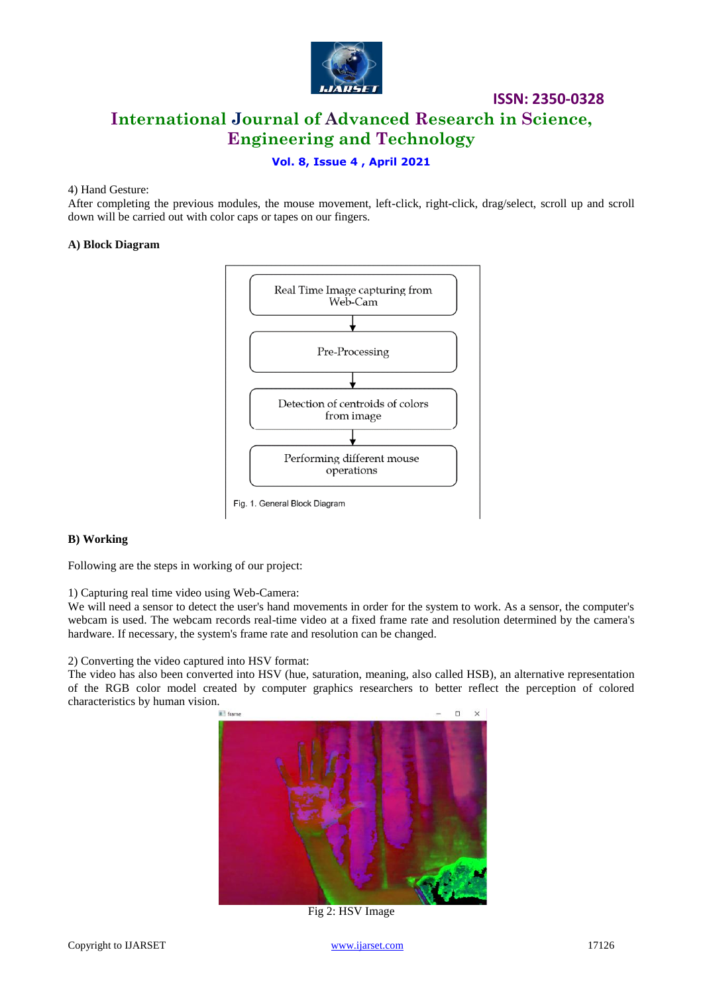

# **International Journal of Advanced Research in Science, Engineering and Technology**

**ISSN: 2350-0328**

#### **Vol. 8, Issue 4 , April 2021**

#### 4) Hand Gesture:

After completing the previous modules, the mouse movement, left-click, right-click, drag/select, scroll up and scroll down will be carried out with color caps or tapes on our fingers.

#### **A) Block Diagram**



#### **B) Working**

Following are the steps in working of our project:

1) Capturing real time video using Web-Camera:

We will need a sensor to detect the user's hand movements in order for the system to work. As a sensor, the computer's webcam is used. The webcam records real-time video at a fixed frame rate and resolution determined by the camera's hardware. If necessary, the system's frame rate and resolution can be changed.

2) Converting the video captured into HSV format:

The video has also been converted into HSV (hue, saturation, meaning, also called HSB), an alternative representation of the RGB color model created by computer graphics researchers to better reflect the perception of colored characteristics by human vision.



Fig 2: HSV Image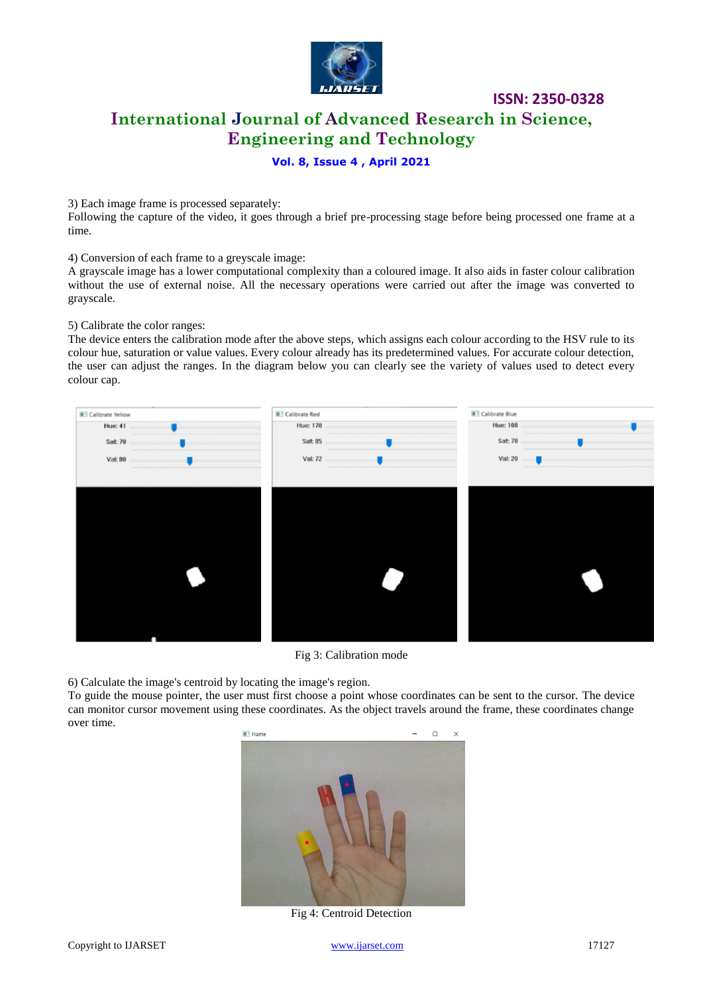

# **International Journal of Advanced Research in Science, Engineering and Technology**

**ISSN: 2350-0328**

#### **Vol. 8, Issue 4 , April 2021**

3) Each image frame is processed separately:

Following the capture of the video, it goes through a brief pre-processing stage before being processed one frame at a time.

4) Conversion of each frame to a greyscale image:

A grayscale image has a lower computational complexity than a coloured image. It also aids in faster colour calibration without the use of external noise. All the necessary operations were carried out after the image was converted to grayscale.

5) Calibrate the color ranges:

The device enters the calibration mode after the above steps, which assigns each colour according to the HSV rule to its colour hue, saturation or value values. Every colour already has its predetermined values. For accurate colour detection, the user can adjust the ranges. In the diagram below you can clearly see the variety of values used to detect every colour cap.



Fig 3: Calibration mode

6) Calculate the image's centroid by locating the image's region.

To guide the mouse pointer, the user must first choose a point whose coordinates can be sent to the cursor. The device can monitor cursor movement using these coordinates. As the object travels around the frame, these coordinates change over time.



Fig 4: Centroid Detection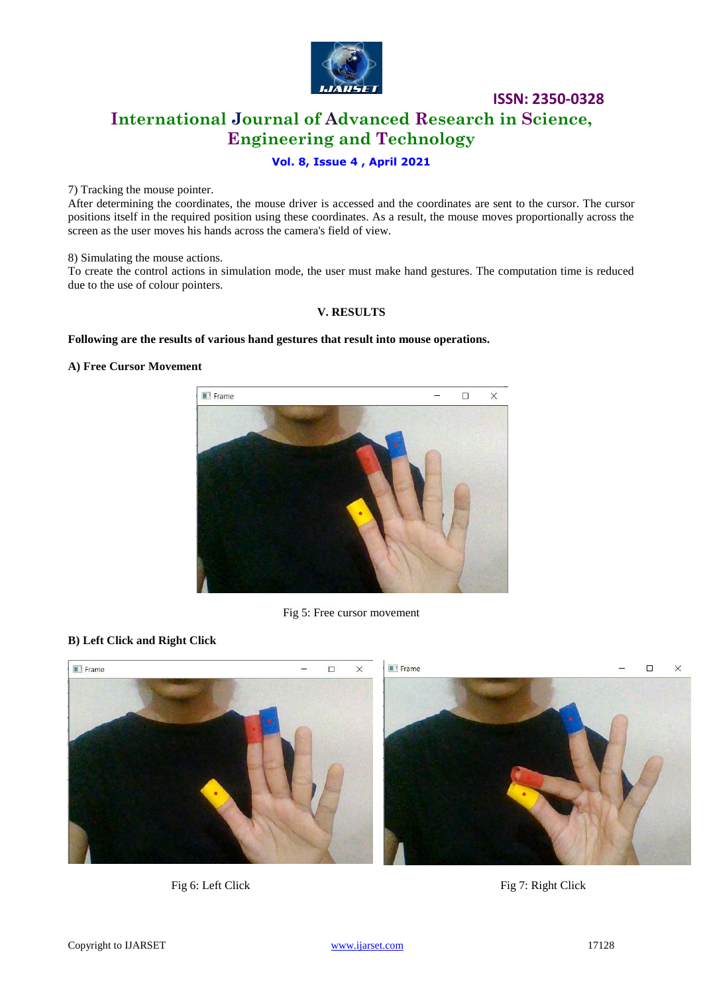

# **International Journal of Advanced Research in Science, Engineering and Technology**

### **Vol. 8, Issue 4 , April 2021**

7) Tracking the mouse pointer.

After determining the coordinates, the mouse driver is accessed and the coordinates are sent to the cursor. The cursor positions itself in the required position using these coordinates. As a result, the mouse moves proportionally across the screen as the user moves his hands across the camera's field of view.

8) Simulating the mouse actions.

To create the control actions in simulation mode, the user must make hand gestures. The computation time is reduced due to the use of colour pointers.

#### **V. RESULTS**

#### **Following are the results of various hand gestures that result into mouse operations.**

#### **A) Free Cursor Movement**



Fig 5: Free cursor movement

#### **B) Left Click and Right Click**



Fig 6: Left Click Fig 7: Right Click

**ISSN: 2350-0328**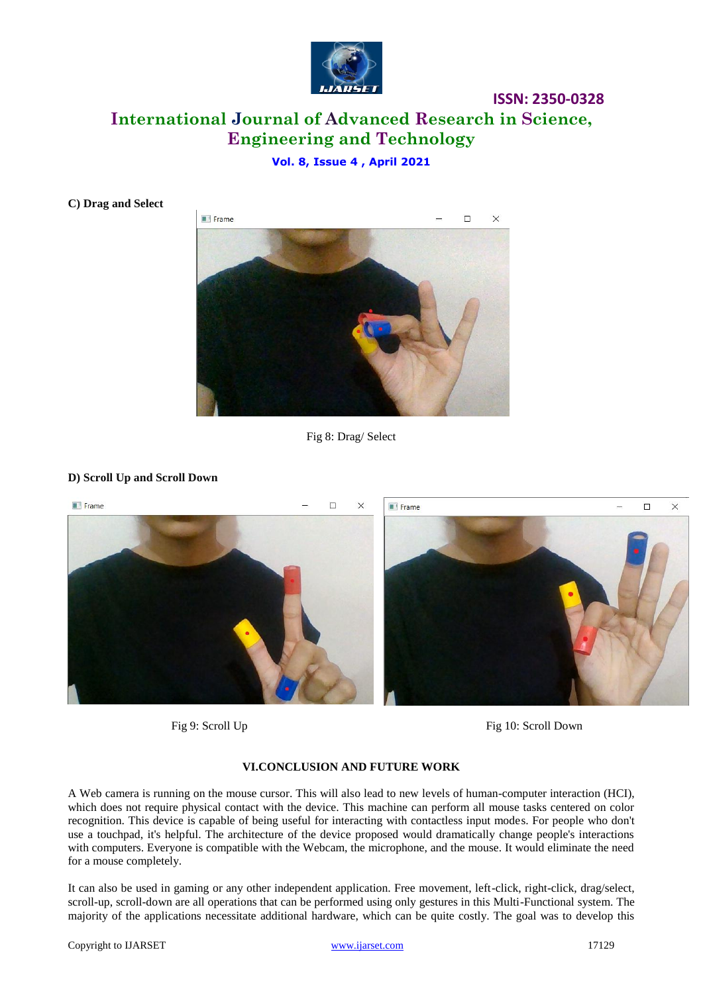

# **International Journal of Advanced Research in Science, Engineering and Technology**

### **Vol. 8, Issue 4 , April 2021**



**C) Drag and Select**

Fig 8: Drag/ Select

#### **D) Scroll Up and Scroll Down**



Fig 9: Scroll Up Fig 10: Scroll Down

#### **VI.CONCLUSION AND FUTURE WORK**

A Web camera is running on the mouse cursor. This will also lead to new levels of human-computer interaction (HCI), which does not require physical contact with the device. This machine can perform all mouse tasks centered on color recognition. This device is capable of being useful for interacting with contactless input modes. For people who don't use a touchpad, it's helpful. The architecture of the device proposed would dramatically change people's interactions with computers. Everyone is compatible with the Webcam, the microphone, and the mouse. It would eliminate the need for a mouse completely.

It can also be used in gaming or any other independent application. Free movement, left-click, right-click, drag/select, scroll-up, scroll-down are all operations that can be performed using only gestures in this Multi-Functional system. The majority of the applications necessitate additional hardware, which can be quite costly. The goal was to develop this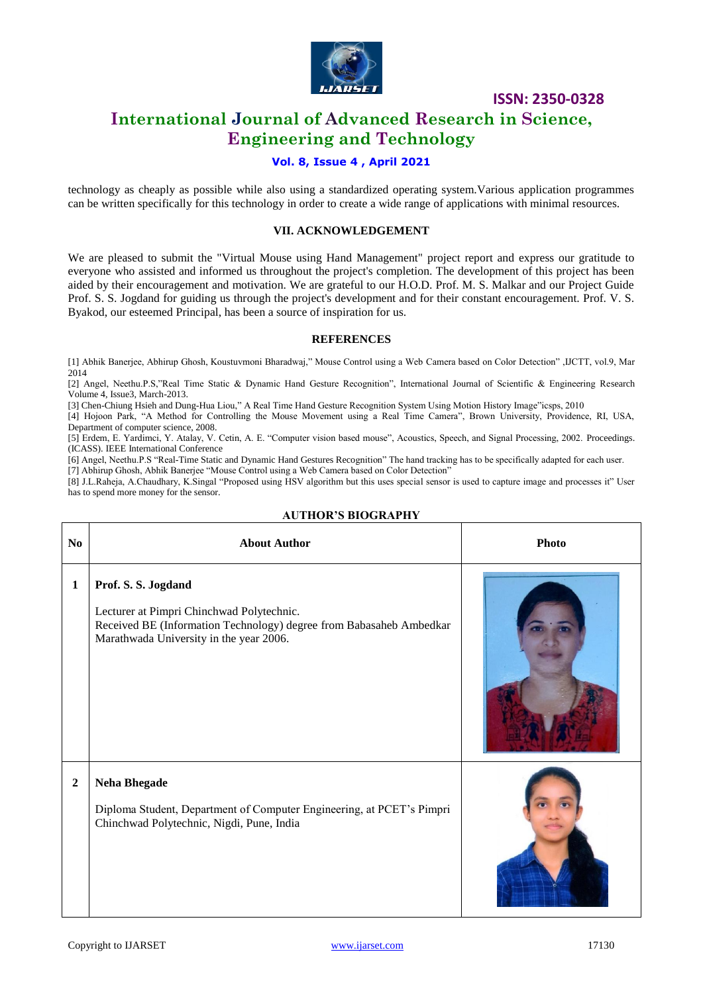

## **International Journal of Advanced Research in Science, Engineering and Technology**

#### **Vol. 8, Issue 4 , April 2021**

technology as cheaply as possible while also using a standardized operating system.Various application programmes can be written specifically for this technology in order to create a wide range of applications with minimal resources.

#### **VII. ACKNOWLEDGEMENT**

We are pleased to submit the "Virtual Mouse using Hand Management" project report and express our gratitude to everyone who assisted and informed us throughout the project's completion. The development of this project has been aided by their encouragement and motivation. We are grateful to our H.O.D. Prof. M. S. Malkar and our Project Guide Prof. S. S. Jogdand for guiding us through the project's development and for their constant encouragement. Prof. V. S. Byakod, our esteemed Principal, has been a source of inspiration for us.

#### **REFERENCES**

[1] Abhik Banerjee, Abhirup Ghosh, Koustuvmoni Bharadwaj," Mouse Control using a Web Camera based on Color Detection" ,IJCTT, vol.9, Mar 2014

[2] Angel, Neethu.P.S,"Real Time Static & Dynamic Hand Gesture Recognition", International Journal of Scientific & Engineering Research Volume 4, Issue3, March-2013.

[3] Chen-Chiung Hsieh and Dung-Hua Liou," A Real Time Hand Gesture Recognition System Using Motion History Image"icsps, 2010

[4] Hojoon Park, "A Method for Controlling the Mouse Movement using a Real Time Camera", Brown University, Providence, RI, USA, Department of computer science, 2008.

[5] Erdem, E. Yardimci, Y. Atalay, V. Cetin, A. E. "Computer vision based mouse", Acoustics, Speech, and Signal Processing, 2002. Proceedings. (ICASS). IEEE International Conference

[6] Angel, Neethu.P.S "Real-Time Static and Dynamic Hand Gestures Recognition" The hand tracking has to be specifically adapted for each user. [7] Abhirup Ghosh, Abhik Banerjee "Mouse Control using a Web Camera based on Color Detection"

[8] J.L.Raheja, A.Chaudhary, K.Singal "Proposed using HSV algorithm but this uses special sensor is used to capture image and processes it" User has to spend more money for the sensor.

| N <sub>0</sub> | <b>About Author</b>                                                                                                                                                                | <b>Photo</b> |
|----------------|------------------------------------------------------------------------------------------------------------------------------------------------------------------------------------|--------------|
| $\mathbf{1}$   | Prof. S. S. Jogdand<br>Lecturer at Pimpri Chinchwad Polytechnic.<br>Received BE (Information Technology) degree from Babasaheb Ambedkar<br>Marathwada University in the year 2006. |              |
| $\overline{2}$ | <b>Neha Bhegade</b><br>Diploma Student, Department of Computer Engineering, at PCET's Pimpri<br>Chinchwad Polytechnic, Nigdi, Pune, India                                          |              |

#### **AUTHOR'S BIOGRAPHY**